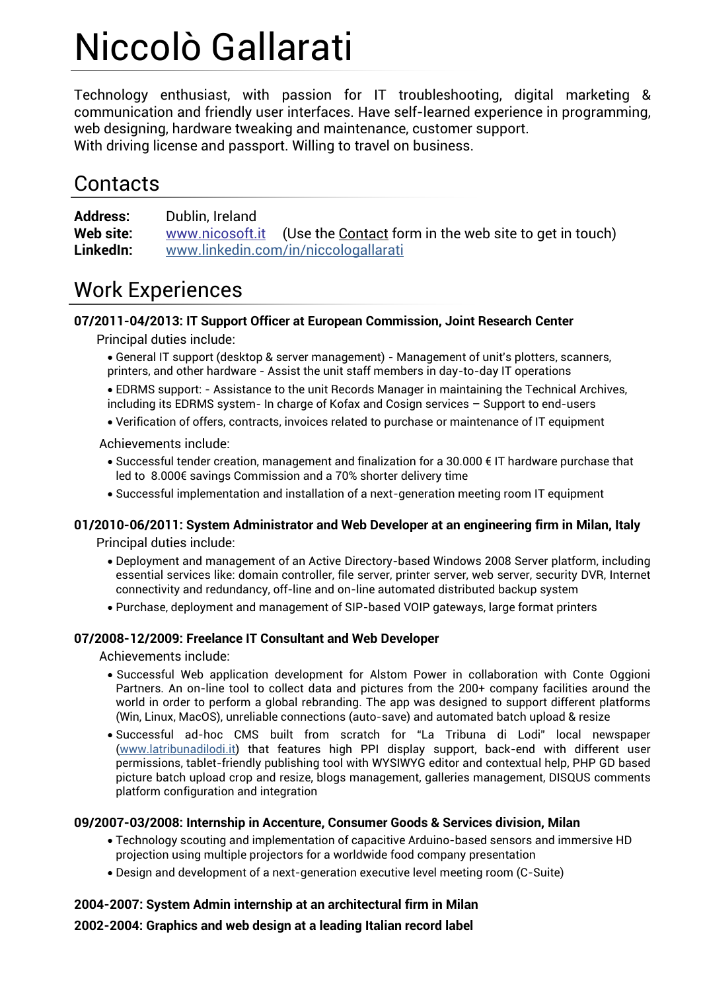# Niccolò Gallarati

Technology enthusiast, with passion for IT troubleshooting, digital marketing & communication and friendly user interfaces. Have self-learned experience in programming, web designing, hardware tweaking and maintenance, customer support. With driving license and passport. Willing to travel on business.

### **Contacts**

**Address:** Dublin, Ireland **Web site:** [www.nicosoft.it](http://www.nicosoft.it/) (Use the Contact form in the web site to get in touch) **LinkedIn:** www.linkedin.com/in/niccologallarati

# Work Experiences

### **07/2011-04/2013: IT Support Officer at European Commission, Joint Research Center**

Principal duties include:

- General IT support (desktop & server management) Management of unit's plotters, scanners, printers, and other hardware - Assist the unit staff members in day-to-day IT operations
- EDRMS support: Assistance to the unit Records Manager in maintaining the Technical Archives, including its EDRMS system- In charge of Kofax and Cosign services – Support to end-users
- Verification of offers, contracts, invoices related to purchase or maintenance of IT equipment

Achievements include:

- Successful tender creation, management and finalization for a 30.000 € IT hardware purchase that led to 8.000€ savings Commission and a 70% shorter delivery time
- Successful implementation and installation of a next-generation meeting room IT equipment

### **01/2010-06/2011: System Administrator and Web Developer at an engineering firm in Milan, Italy**

Principal duties include:

- Deployment and management of an Active Directory-based Windows 2008 Server platform, including essential services like: domain controller, file server, printer server, web server, security DVR, Internet connectivity and redundancy, off-line and on-line automated distributed backup system
- Purchase, deployment and management of SIP-based VOIP gateways, large format printers

#### **07/2008-12/2009: Freelance IT Consultant and Web Developer**

Achievements include:

- Successful Web application development for Alstom Power in collaboration with Conte Oggioni Partners. An on-line tool to collect data and pictures from the 200+ company facilities around the world in order to perform a global rebranding. The app was designed to support different platforms (Win, Linux, MacOS), unreliable connections (auto-save) and automated batch upload & resize
- Successful ad-hoc CMS built from scratch for "La Tribuna di Lodi" local newspaper (www.latribunadilodi.it) that features high PPI display support, back-end with different user permissions, tablet-friendly publishing tool with WYSIWYG editor and contextual help, PHP GD based picture batch upload crop and resize, blogs management, galleries management, DISQUS comments platform configuration and integration

#### **09/2007-03/2008: Internship in Accenture, Consumer Goods & Services division, Milan**

- Technology scouting and implementation of capacitive Arduino-based sensors and immersive HD projection using multiple projectors for a worldwide food company presentation
- Design and development of a next-generation executive level meeting room (C-Suite)

#### **2004-2007: System Admin internship at an architectural firm in Milan**

**2002-2004: Graphics and web design at a leading Italian record label**